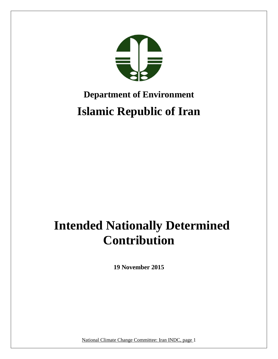

# **Department of Environment Islamic Republic of Iran**

# **Intended Nationally Determined Contribution**

**19 November 2015**

National Climate Change Committee: Iran INDC, page 1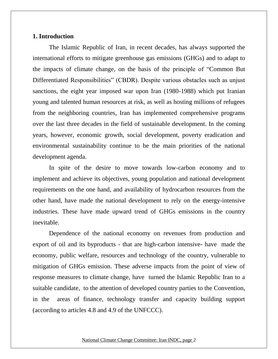# **1. Introduction**

The Islamic Republic of Iran, in recent decades, has always supported the international efforts to mitigate greenhouse gas emissions (GHGs) and to adapt to the impacts of climate change, on the basis of the principle of "Common But Differentiated Responsibilities" (CBDR). Despite various obstacles such as unjust sanctions, the eight year imposed war upon Iran (1980-1988) which put Iranian young and talented human resources at risk, as well as hosting millions of refugees from the neighboring countries, Iran has implemented comprehensive programs over the last three decades in the field of sustainable development. In the coming years, however, economic growth, social development, poverty eradication and environmental sustainability continue to be the main priorities of the national development agenda.

In spite of the desire to move towards low-carbon economy and to implement and achieve its objectives, young population and national development requirements on the one hand, and availability of hydrocarbon resources from the other hand, have made the national development to rely on the energy-intensive industries. These have made upward trend of GHGs emissions in the country inevitable.

Dependence of the national economy on revenues from production and export of oil and its byproducts - that are high-carbon intensive- have made the economy, public welfare, resources and technology of the country, vulnerable to mitigation of GHGs emission. These adverse impacts from the point of view of response measures to climate change, have turned the Islamic Republic Iran to a suitable candidate, to the attention of developed country parties to the Convention, in the areas of finance, technology transfer and capacity building support (according to articles 4.8 and 4.9 of the UNFCCC).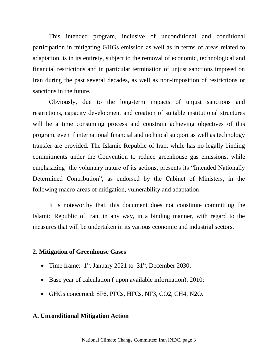This intended program, inclusive of unconditional and conditional participation in mitigating GHGs emission as well as in terms of areas related to adaptation, is in its entirety, subject to the removal of economic, technological and financial restrictions and in particular termination of unjust sanctions imposed on Iran during the past several decades, as well as non-imposition of restrictions or sanctions in the future.

Obviously, due to the long-term impacts of unjust sanctions and restrictions, capacity development and creation of suitable institutional structures will be a time consuming process and constrain achieving objectives of this program, even if international financial and technical support as well as technology transfer are provided. The Islamic Republic of Iran, while has no legally binding commitments under the Convention to reduce greenhouse gas emissions, while emphasizing the voluntary nature of its actions, presents its "Intended Nationally Determined Contribution", as endorsed by the Cabinet of Ministers, in the following macro-areas of mitigation, vulnerability and adaptation.

It is noteworthy that, this document does not constitute committing the Islamic Republic of Iran, in any way, in a binding manner, with regard to the measures that will be undertaken in its various economic and industrial sectors.

## **2. Mitigation of Greenhouse Gases**

- Time frame:  $1<sup>st</sup>$ , January 2021 to  $31<sup>st</sup>$ , December 2030;
- Base year of calculation ( upon available information): 2010;
- GHGs concerned: SF6, PFCs, HFCs, NF3, CO2, CH4, N2O.

## **A. Unconditional Mitigation Action**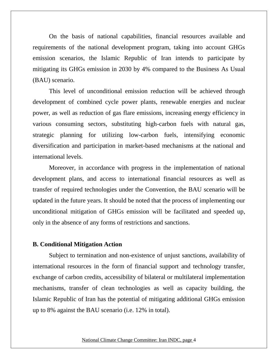On the basis of national capabilities, financial resources available and requirements of the national development program, taking into account GHGs emission scenarios, the Islamic Republic of Iran intends to participate by mitigating its GHGs emission in 2030 by 4% compared to the Business As Usual (BAU) scenario.

This level of unconditional emission reduction will be achieved through development of combined cycle power plants, renewable energies and nuclear power, as well as reduction of gas flare emissions, increasing energy efficiency in various consuming sectors, substituting high-carbon fuels with natural gas, strategic planning for utilizing low-carbon fuels, intensifying economic diversification and participation in market-based mechanisms at the national and international levels.

Moreover, in accordance with progress in the implementation of national development plans, and access to international financial resources as well as transfer of required technologies under the Convention, the BAU scenario will be updated in the future years. It should be noted that the process of implementing our unconditional mitigation of GHGs emission will be facilitated and speeded up, only in the absence of any forms of restrictions and sanctions.

## **B. Conditional Mitigation Action**

Subject to termination and non-existence of unjust sanctions, availability of international resources in the form of financial support and technology transfer, exchange of carbon credits, accessibility of bilateral or multilateral implementation mechanisms, transfer of clean technologies as well as capacity building, the Islamic Republic of Iran has the potential of mitigating additional GHGs emission up to 8% against the BAU scenario (i.e. 12% in total).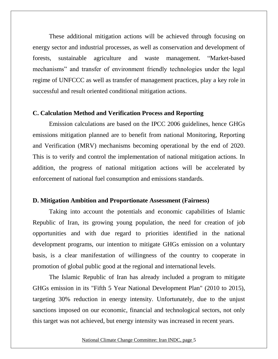These additional mitigation actions will be achieved through focusing on energy sector and industrial processes, as well as conservation and development of forests, sustainable agriculture and waste management. "Market-based mechanisms" and transfer of environment friendly technologies under the legal regime of UNFCCC as well as transfer of management practices, play a key role in successful and result oriented conditional mitigation actions.

## **C. Calculation Method and Verification Process and Reporting**

Emission calculations are based on the IPCC 2006 guidelines, hence GHGs emissions mitigation planned are to benefit from national Monitoring, Reporting and Verification (MRV) mechanisms becoming operational by the end of 2020. This is to verify and control the implementation of national mitigation actions. In addition, the progress of national mitigation actions will be accelerated by enforcement of national fuel consumption and emissions standards.

## **D. Mitigation Ambition and Proportionate Assessment (Fairness)**

Taking into account the potentials and economic capabilities of Islamic Republic of Iran, its growing young population, the need for creation of job opportunities and with due regard to priorities identified in the national development programs, our intention to mitigate GHGs emission on a voluntary basis, is a clear manifestation of willingness of the country to cooperate in promotion of global public good at the regional and international levels.

The Islamic Republic of Iran has already included a program to mitigate GHGs emission in its "Fifth 5 Year National Development Plan" (2010 to 2015), targeting 30% reduction in energy intensity. Unfortunately, due to the unjust sanctions imposed on our economic, financial and technological sectors, not only this target was not achieved, but energy intensity was increased in recent years.

#### National Climate Change Committee: Iran INDC, page 5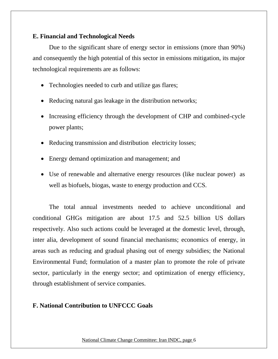# **E. Financial and Technological Needs**

Due to the significant share of energy sector in emissions (more than 90%) and consequently the high potential of this sector in emissions mitigation, its major technological requirements are as follows:

- Technologies needed to curb and utilize gas flares;
- Reducing natural gas leakage in the distribution networks;
- Increasing efficiency through the development of CHP and combined-cycle power plants;
- Reducing transmission and distribution electricity losses;
- Energy demand optimization and management; and
- Use of renewable and alternative energy resources (like nuclear power) as well as biofuels, biogas, waste to energy production and CCS.

The total annual investments needed to achieve unconditional and conditional GHGs mitigation are about 17.5 and 52.5 billion US dollars respectively. Also such actions could be leveraged at the domestic level, through, inter alia, development of sound financial mechanisms; economics of energy, in areas such as reducing and gradual phasing out of energy subsidies; the National Environmental Fund; formulation of a master plan to promote the role of private sector, particularly in the energy sector; and optimization of energy efficiency, through establishment of service companies.

# **F. National Contribution to UNFCCC Goals**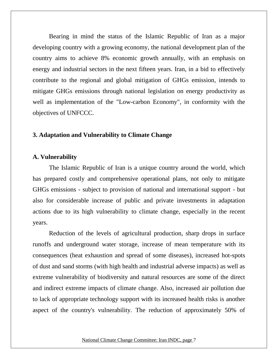Bearing in mind the status of the Islamic Republic of Iran as a major developing country with a growing economy, the national development plan of the country aims to achieve 8% economic growth annually, with an emphasis on energy and industrial sectors in the next fifteen years. Iran, in a bid to effectively contribute to the regional and global mitigation of GHGs emission, intends to mitigate GHGs emissions through national legislation on energy productivity as well as implementation of the "Low-carbon Economy", in conformity with the objectives of UNFCCC.

## **3. Adaptation and Vulnerability to Climate Change**

## **A. Vulnerability**

The Islamic Republic of Iran is a unique country around the world, which has prepared costly and comprehensive operational plans, not only to mitigate GHGs emissions - subject to provision of national and international support - but also for considerable increase of public and private investments in adaptation actions due to its high vulnerability to climate change, especially in the recent years.

Reduction of the levels of agricultural production, sharp drops in surface runoffs and underground water storage, increase of mean temperature with its consequences (heat exhaustion and spread of some diseases), increased hot-spots of dust and sand storms (with high health and industrial adverse impacts) as well as extreme vulnerability of biodiversity and natural resources are some of the direct and indirect extreme impacts of climate change. Also, increased air pollution due to lack of appropriate technology support with its increased health risks is another aspect of the country's vulnerability. The reduction of approximately 50% of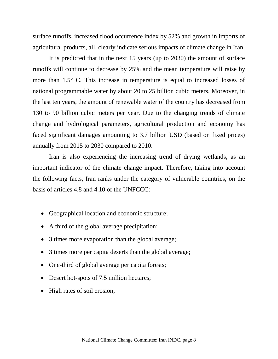surface runoffs, increased flood occurrence index by 52% and growth in imports of agricultural products, all, clearly indicate serious impacts of climate change in Iran.

It is predicted that in the next 15 years (up to 2030) the amount of surface runoffs will continue to decrease by 25% and the mean temperature will raise by more than 1.5° C. This increase in temperature is equal to increased losses of national programmable water by about 20 to 25 billion cubic meters. Moreover, in the last ten years, the amount of renewable water of the country has decreased from 130 to 90 billion cubic meters per year. Due to the changing trends of climate change and hydrological parameters, agricultural production and economy has faced significant damages amounting to 3.7 billion USD (based on fixed prices) annually from 2015 to 2030 compared to 2010.

Iran is also experiencing the increasing trend of drying wetlands, as an important indicator of the climate change impact. Therefore, taking into account the following facts, Iran ranks under the category of vulnerable countries, on the basis of articles 4.8 and 4.10 of the UNFCCC:

- Geographical location and economic structure;
- A third of the global average precipitation;
- 3 times more evaporation than the global average;
- 3 times more per capita deserts than the global average;
- One-third of global average per capita forests;
- Desert hot-spots of 7.5 million hectares;
- High rates of soil erosion;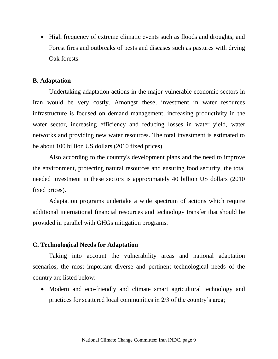• High frequency of extreme climatic events such as floods and droughts; and Forest fires and outbreaks of pests and diseases such as pastures with drying Oak forests.

# **B. Adaptation**

Undertaking adaptation actions in the major vulnerable economic sectors in Iran would be very costly. Amongst these, investment in water resources infrastructure is focused on demand management, increasing productivity in the water sector, increasing efficiency and reducing losses in water yield, water networks and providing new water resources. The total investment is estimated to be about 100 billion US dollars (2010 fixed prices).

Also according to the country's development plans and the need to improve the environment, protecting natural resources and ensuring food security, the total needed investment in these sectors is approximately 40 billion US dollars (2010 fixed prices).

Adaptation programs undertake a wide spectrum of actions which require additional international financial resources and technology transfer that should be provided in parallel with GHGs mitigation programs.

## **C. Technological Needs for Adaptation**

Taking into account the vulnerability areas and national adaptation scenarios, the most important diverse and pertinent technological needs of the country are listed below:

• Modern and eco-friendly and climate smart agricultural technology and practices for scattered local communities in 2/3 of the country's area;